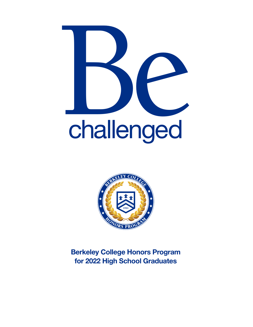



Berkeley College Honors Program for 2022 High School Graduates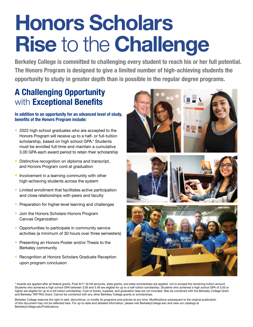# Honors Scholars Rise to the Challenge

Berkeley College is committed to challenging every student to reach his or her full potential. The Honors Program is designed to give a limited number of high-achieving students the opportunity to study in greater depth than is possible in the regular degree programs.

## A Challenging Opportunity with **Exceptional Benefits**

#### In addition to an opportunity for an advanced level of study, benefits of the Honors Program include:

- 2022 high school graduates who are accepted to the Honors Program will receive up to a half- or full-tuition scholarship, based on high school GPA.\* Students must be enrolled full-time and maintain a cumulative 3.00 GPA each award period to retain their scholarship
- Distinctive recognition on diploma and transcript, and Honors Program cord at graduation
- Involvement in a learning community with other high-achieving students across the system
- Limited enrollment that facilitates active participation and close relationships with peers and faculty
- Preparation for higher-level learning and challenges
- Join the Honors Scholars-Honors Program Canvas Organization
- Opportunities to participate in community service activities (a minimum of 30 hours over three semesters)
- Presenting an Honors Poster and/or Thesis to the Berkeley community
- Recognition at Honors Scholars Graduate Reception upon program conclusion







\* Awards are applied after all federal grants, Post-9/11 GI bill amounts, state grants, and state scholarships are applied, not to exceed the remaining tuition amount. Students who achieved a high school GPA between 3.00 and 3.49 are eligible for up to a half-tuition scholarship. Students who achieved a high school GPA of 3.50 or higher are eligible for up to a full-tuition scholarship. Cost of books, supplies, and graduation fees are not included. May be combined with the Berkeley College Grant and Berkeley TAP/TAG Grant. Cannot be combined with any other Berkeley College grants or scholarships.

Berkeley College reserves the right to add, discontinue, or modify its programs and policies at any time. Modifications subsequent to the original publication of this document may not be reflected here. For up-to-date and detailed information, please visit BerkeleyCollege.edu and view our catalogs at BerkeleyCollege.edu/Publications.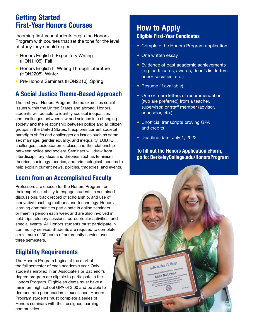### Getting Started: First-Year Honors Courses

Incoming first-year students begin the Honors Program with courses that set the tone for the level of study they should expect.

- Honors English I: Expository Writing (HON1105): Fall
- Honors English II: Writing Through Literature (HON2205): Winter
- Pre-Honors Seminars (HON2210): Spring

## A Social Justice Theme-Based Approach

The first-year Honors Program theme examines social issues within the United States and abroad. Honors students will be able to identify societal inequalities and challenges between law and science in a changing society and the relationship between police and all citizen groups in the United States. It explores current societal paradigm shifts and challenges on issues such as samesex marriage, gender equality, and inequality, LGBTQ challenges, socioeconomic class, and the relationship between police and society. Seminars will draw from interdisciplinary ideas and theories such as feminism theories, sociology theories, and criminological theories to help explain current news, policies, tragedies, and events.

### Learn from an Accomplished Faculty

Professors are chosen for the Honors Program for their expertise, ability to engage students in sustained discussions, track record of scholarship, and use of innovative teaching methods and technology. Honors learning communities participate in online seminars or meet in person each week and are also involved in field trips, plenary sessions, co-curricular activities, and special events. All Honors students must participate in community service. Students are required to complete a minimum of 30 hours of community service over three semesters.

### Eligibility Requirements

The Honors Program begins at the start of the fall semester of each academic year. Only students enrolled in an Associate's or Bachelor's degree program are eligible to participate in the Honors Program. Eligible students must have a minimum high school GPA of 3.00 and be able to demonstrate prior academic excellence. Honors Program students must complete a series of Honors seminars with their assigned learning communities.

#### How to Apply Eligible First-Year Candidates

- Complete the Honors Program application
- One written essay
- Evidence of past academic achievements (e.g. certificates, awards, dean's list letters, honor societies, etc.)
- Resume (if available)
- One or more letters of recommendation (two are preferred) from a teacher, supervisor, or staff member (advisor, counselor, etc.)
- Unofficial transcripts proving GPA and credits
- Deadline date: July 1, 2022

#### To fill out the Honors Application eForm, go to: BerkeleyCollege.edu/HonorsProgram